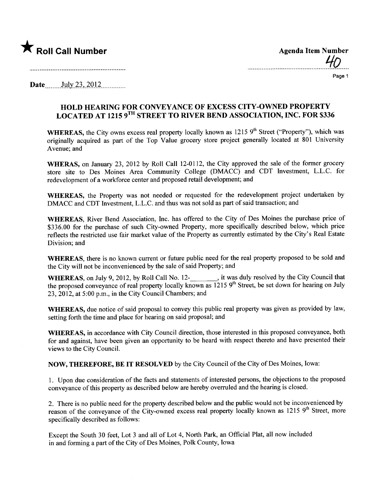

| <b>Agenda Item Number</b> | 4D |
|---------------------------|----|
|                           |    |

Page 1

**Date**  $July 23, 2012$ 

## HOLD HEARING FOR CONVEYANCE OF EXCESS CITY-OWNED PROPERTY LOCATED AT 1215 9TH STREET TO RIVER BEND ASSOCIATION, INC. FOR \$336

WHEREAS, the City owns excess real property locally known as 1215 9<sup>th</sup> Street ("Property"), which was originally acquired as part of the Top Value grocery store project generally located at 801 University Avenue; and

WHERAS, on January 23, 2012 by Roll Call 12-0112, the City approved the sale of the former grocery store site to Des Moines Area Community College (DMACC) and CDT Investment, L.L.C. for redevelopment of a workforce center and proposed retail development; and

WHEREAS, the Property was not needed or requested for the redevelopment project undertaken by DMACC and CDT Investment, L.L.C. and thus was not sold as part of said transaction; and

WHEREAS, River Bend Association, Inc. has offered to the City of Des Moines the purchase price of \$336.00 for the purchase of such City-owned Property, more specifically described below, which price reflects the restricted use fair market value of the Property as currently estimated by the City's Real Estate Division; and

WHEREAS, there is no known current or future public need for the real property proposed to be sold and the City will not be inconvenienced by the sale of said Property; and

WHEREAS, on July 9, 2012, by Roll Call No. 12-**\_\_\_\_\_\_\_**, it was duly resolved by the City Council that the proposed conveyance of real property locally known as 1215 9<sup>th</sup> Street, be set down for hearing on July 23,2012, at 5:00 p.m., in the City Council Chambers; and

WHEREAS, due notice of said proposal to convey this public real property was given as provided by law, setting forth the time and place for hearing on said proposal; and

WHEREAS, in accordance with City Council direction, those interested in this proposed conveyance, both for and against, have been given an opportunity to be heard with respect thereto and have presented their views to the City CounciL.

NOW, THEREFORE, BE IT RESOLVED by the City Council of the City of Des Moines, Iowa:

1. Upon due consideration of the facts and statements of interested persons, the objections to the proposed conveyance of this property as described below are hereby overruled and the hearing is closed.

2. There is no public need for the property described below and the public would not be inconvenienced by reason of the conveyance of the City-owned excess real property locally known as 1215 9<sup>th</sup> Street, more specifically described as follows:

Except the South 30 feet, Lot 3 and all of Lot 4, North Park, an Official Plat, all now included in and forming a part of the City of Des Moines, Polk County, Iowa